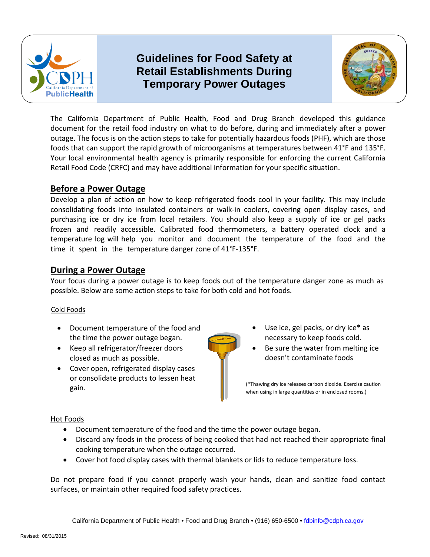

# **Retail Establishments During Temporary Power Outages Guidelines for Food Safety at**



 foods that can support the rapid growth of microorganisms at temperatures between 41°F and 135°F. The California Department of Public Health, Food and Drug Branch developed this guidance document for the retail food industry on what to do before, during and immediately after a power outage. The focus is on the action steps to take for potentially hazardous foods (PHF), which are those Your local environmental health agency is primarily responsible for enforcing the current California Retail Food Code (CRFC) and may have additional information for your specific situation.

# **Before a Power Outage**

Develop a plan of action on how to keep refrigerated foods cool in your facility. This may include consolidating foods into insulated containers or walk-in coolers, covering open display cases, and purchasing ice or dry ice from local retailers. You should also keep a supply of ice or gel packs frozen and readily accessible. Calibrated food thermometers, a battery operated clock and a temperature log will help you monitor and document the temperature of the food and the time it spent in the temperature danger zone of 41°F-135°F.

## **During a Power Outage**

Your focus during a power outage is to keep foods out of the temperature danger zone as much as possible. Below are some action steps to take for both cold and hot foods.

### Cold Foods

- Document temperature of the food and the time the power outage began.
- closed as much as possible.  $\Box$
- • Cover open, refrigerated display cases or consolidate products to lessen heat
- Use ice, gel packs, or dry ice\* as necessary to keep foods cold.
- Keep all refrigerator/freezer doors Be sure the water from melting ice

gain. Thawing dry ice releases carbon dioxide. Exercise caution and the contract of the contract of the contract of the contract of the contract of the contract of the contract of the contract of the contract of the contra when using in large quantities or in enclosed rooms.)

#### Hot Foods

- Document temperature of the food and the time the power outage began.
- Discard any foods in the process of being cooked that had not reached their appropriate final cooking temperature when the outage occurred.
- Cover hot food display cases with thermal blankets or lids to reduce temperature loss.

Do not prepare food if you cannot properly wash your hands, clean and sanitize food contact surfaces, or maintain other required food safety practices.